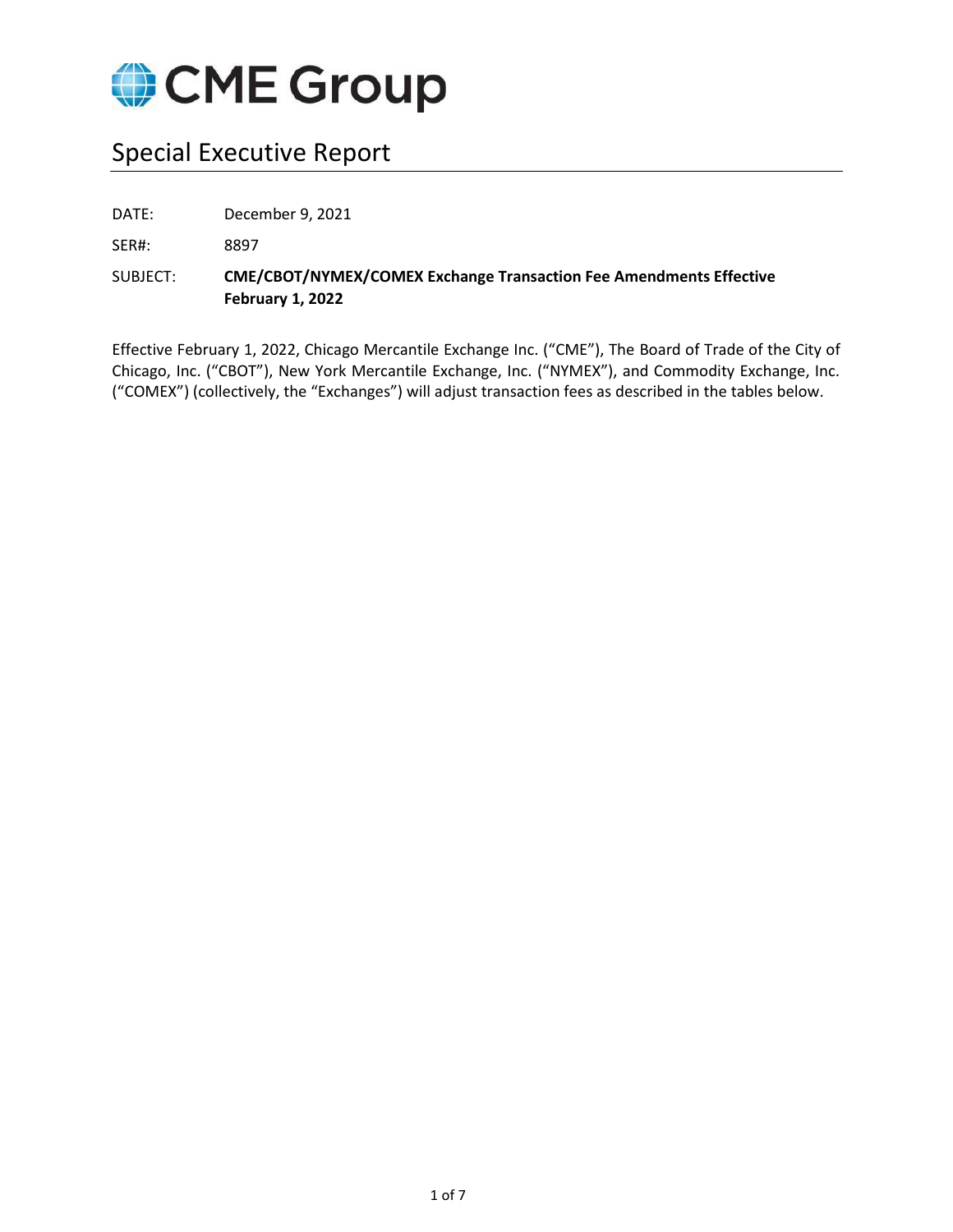

# Special Executive Report

DATE: December 9, 2021

SER#: 8897

SUBJECT: **CME/CBOT/NYMEX/COMEX Exchange Transaction Fee Amendments Effective February 1, 2022**

Effective February 1, 2022, Chicago Mercantile Exchange Inc. ("CME"), The Board of Trade of the City of Chicago, Inc. ("CBOT"), New York Mercantile Exchange, Inc. ("NYMEX"), and Commodity Exchange, Inc. ("COMEX") (collectively, the "Exchanges") will adjust transaction fees as described in the tables below.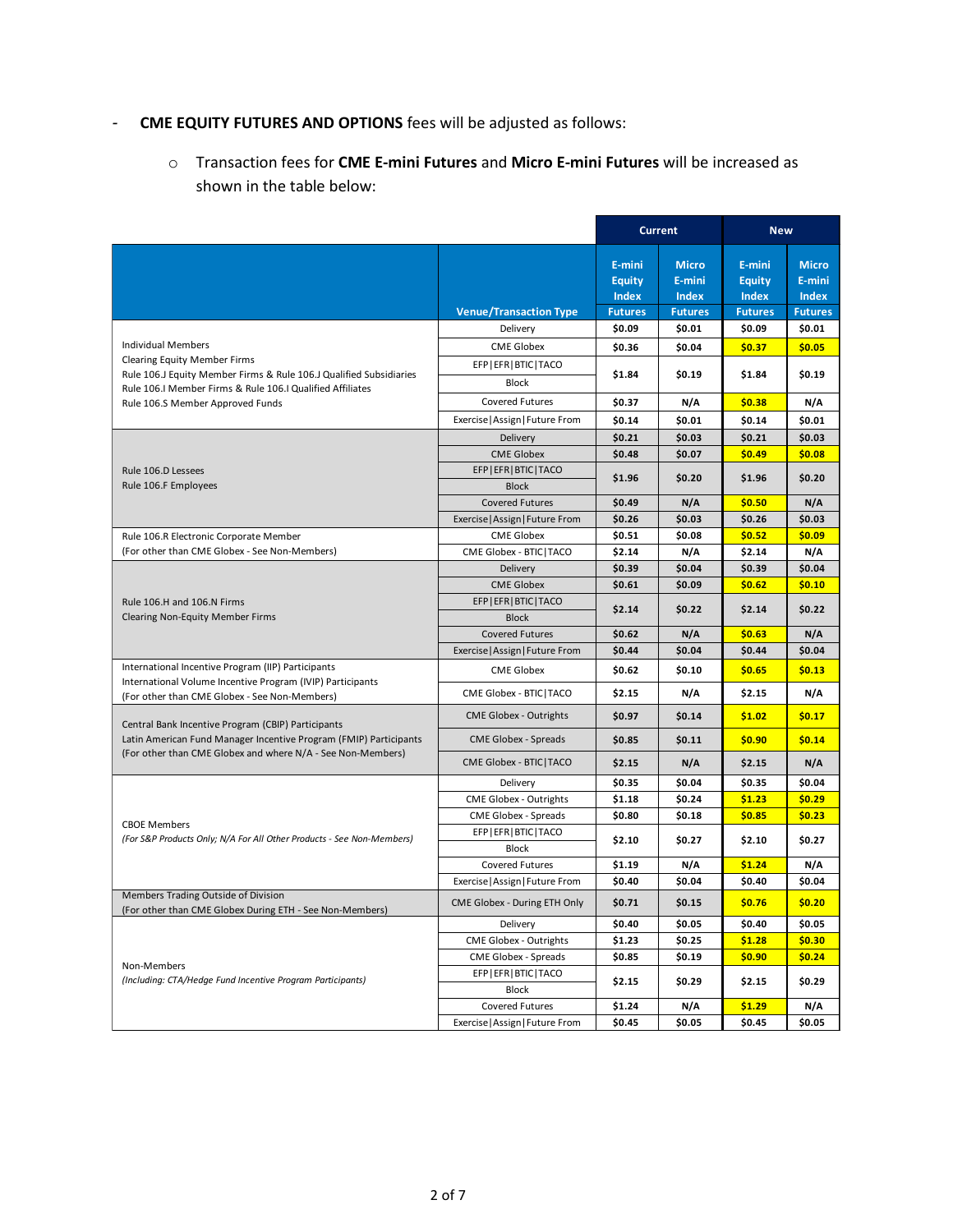# *-* **CME EQUITY FUTURES AND OPTIONS** fees will be adjusted as follows:

o Transaction fees for **CME E-mini Futures** and **Micro E-mini Futures** will be increased as shown in the table below:

|                                                                                                                                  |                                 |                | <b>Current</b> | <b>New</b>     |                |
|----------------------------------------------------------------------------------------------------------------------------------|---------------------------------|----------------|----------------|----------------|----------------|
|                                                                                                                                  |                                 |                |                |                |                |
|                                                                                                                                  |                                 | E-mini         | <b>Micro</b>   | E-mini         | <b>Micro</b>   |
|                                                                                                                                  |                                 | <b>Equity</b>  | E-mini         | <b>Equity</b>  | E-mini         |
|                                                                                                                                  |                                 | <b>Index</b>   | <b>Index</b>   | <b>Index</b>   | <b>Index</b>   |
|                                                                                                                                  | <b>Venue/Transaction Type</b>   | <b>Futures</b> | <b>Futures</b> | <b>Futures</b> | <b>Futures</b> |
|                                                                                                                                  | Delivery                        | \$0.09         | \$0.01         | \$0.09         | \$0.01         |
| Individual Members                                                                                                               | <b>CME Globex</b>               | \$0.36         | \$0.04         | \$0.37         | \$0.05         |
| <b>Clearing Equity Member Firms</b><br>Rule 106.J Equity Member Firms & Rule 106.J Qualified Subsidiaries                        | EFP   EFR   BTIC   TACO         | \$1.84         | \$0.19         | \$1.84         | \$0.19         |
| Rule 106.I Member Firms & Rule 106.I Qualified Affiliates                                                                        | <b>Block</b>                    |                |                |                |                |
| Rule 106.S Member Approved Funds                                                                                                 | <b>Covered Futures</b>          | \$0.37         | N/A            | \$0.38         | N/A            |
|                                                                                                                                  | Exercise   Assign   Future From | \$0.14         | \$0.01         | \$0.14         | \$0.01         |
|                                                                                                                                  | Delivery                        | \$0.21         | \$0.03         | \$0.21         | \$0.03\$       |
|                                                                                                                                  | <b>CME Globex</b>               | \$0.48         | \$0.07         | \$0.49         | \$0.08         |
| Rule 106.D Lessees                                                                                                               | EFP   EFR   BTIC   TACO         |                |                | \$1.96         |                |
| Rule 106.F Employees                                                                                                             | <b>Block</b>                    | \$1.96         | \$0.20         |                | \$0.20         |
|                                                                                                                                  | <b>Covered Futures</b>          | \$0.49         | N/A            | \$0.50         | N/A            |
|                                                                                                                                  | Exercise   Assign   Future From | \$0.26         | \$0.03         | \$0.26         | \$0.03         |
| Rule 106.R Electronic Corporate Member                                                                                           | <b>CME Globex</b>               | \$0.51         | \$0.08         | \$0.52         | \$0.09         |
| (For other than CME Globex - See Non-Members)                                                                                    | CME Globex - BTIC   TACO        | \$2.14         | N/A            | \$2.14         | N/A            |
|                                                                                                                                  | Delivery                        | \$0.39         | \$0.04         | \$0.39         | \$0.04         |
|                                                                                                                                  | <b>CME Globex</b>               | \$0.61         | \$0.09         | \$0.62         | \$0.10         |
| Rule 106.H and 106.N Firms                                                                                                       | EFP   EFR   BTIC   TACO         | \$2.14         |                |                |                |
| <b>Clearing Non-Equity Member Firms</b>                                                                                          | <b>Block</b>                    |                | \$0.22         | \$2.14         | \$0.22         |
|                                                                                                                                  | <b>Covered Futures</b>          | \$0.62         | N/A            | \$0.63         | N/A            |
|                                                                                                                                  | Exercise   Assign   Future From | \$0.44         | \$0.04         | \$0.44         | \$0.04         |
| International Incentive Program (IIP) Participants                                                                               | <b>CME Globex</b>               | \$0.62         | \$0.10         | \$0.65         | \$0.13         |
| International Volume Incentive Program (IVIP) Participants<br>(For other than CME Globex - See Non-Members)                      | CME Globex - BTIC   TACO        | \$2.15         | N/A            | \$2.15         | N/A            |
|                                                                                                                                  | <b>CME Globex - Outrights</b>   | \$0.97         | \$0.14         | \$1.02         | \$0.17         |
| Central Bank Incentive Program (CBIP) Participants                                                                               |                                 |                |                |                |                |
| Latin American Fund Manager Incentive Program (FMIP) Participants<br>(For other than CME Globex and where N/A - See Non-Members) | CME Globex - Spreads            | \$0.85         | \$0.11         | \$0.90         | \$0.14         |
|                                                                                                                                  | CME Globex - BTIC   TACO        | \$2.15         | N/A            | \$2.15         | N/A            |
|                                                                                                                                  | Delivery                        | \$0.35         | \$0.04         | \$0.35         | \$0.04         |
|                                                                                                                                  | CME Globex - Outrights          | \$1.18         | \$0.24         | \$1.23         | \$0.29         |
| <b>CBOE Members</b>                                                                                                              | <b>CME Globex - Spreads</b>     | \$0.80         | \$0.18         | \$0.85         | \$0.23         |
| (For S&P Products Only; N/A For All Other Products - See Non-Members)                                                            | EFP   EFR   BTIC   TACO         | \$2.10         | \$0.27         | \$2.10         | \$0.27         |
|                                                                                                                                  | <b>Block</b>                    |                |                |                |                |
|                                                                                                                                  | Covered Futures                 | \$1.19         | N/A            | \$1.24         | N/A            |
| Members Trading Outside of Division                                                                                              | Exercise   Assign   Future From | \$0.40         | \$0.04         | \$0.40         | \$0.04         |
| (For other than CME Globex During ETH - See Non-Members)                                                                         | CME Globex - During ETH Only    | \$0.71         | \$0.15         | \$0.76         | \$0.20         |
|                                                                                                                                  | Delivery                        | \$0.40         | \$0.05         | \$0.40         | \$0.05         |
|                                                                                                                                  | CME Globex - Outrights          | \$1.23         | \$0.25         | \$1.28         | \$0.30         |
|                                                                                                                                  | CME Globex - Spreads            | \$0.85         | \$0.19         | \$0.90         | \$0.24         |
| Non-Members<br>(Including: CTA/Hedge Fund Incentive Program Participants)                                                        | EFP   EFR   BTIC   TACO         | \$2.15         | \$0.29         | \$2.15         | \$0.29         |
|                                                                                                                                  | <b>Block</b>                    |                |                |                |                |
|                                                                                                                                  | Covered Futures                 | \$1.24         | N/A            | \$1.29         | N/A            |
|                                                                                                                                  | Exercise   Assign   Future From | \$0.45         | \$0.05         | \$0.45         | \$0.05         |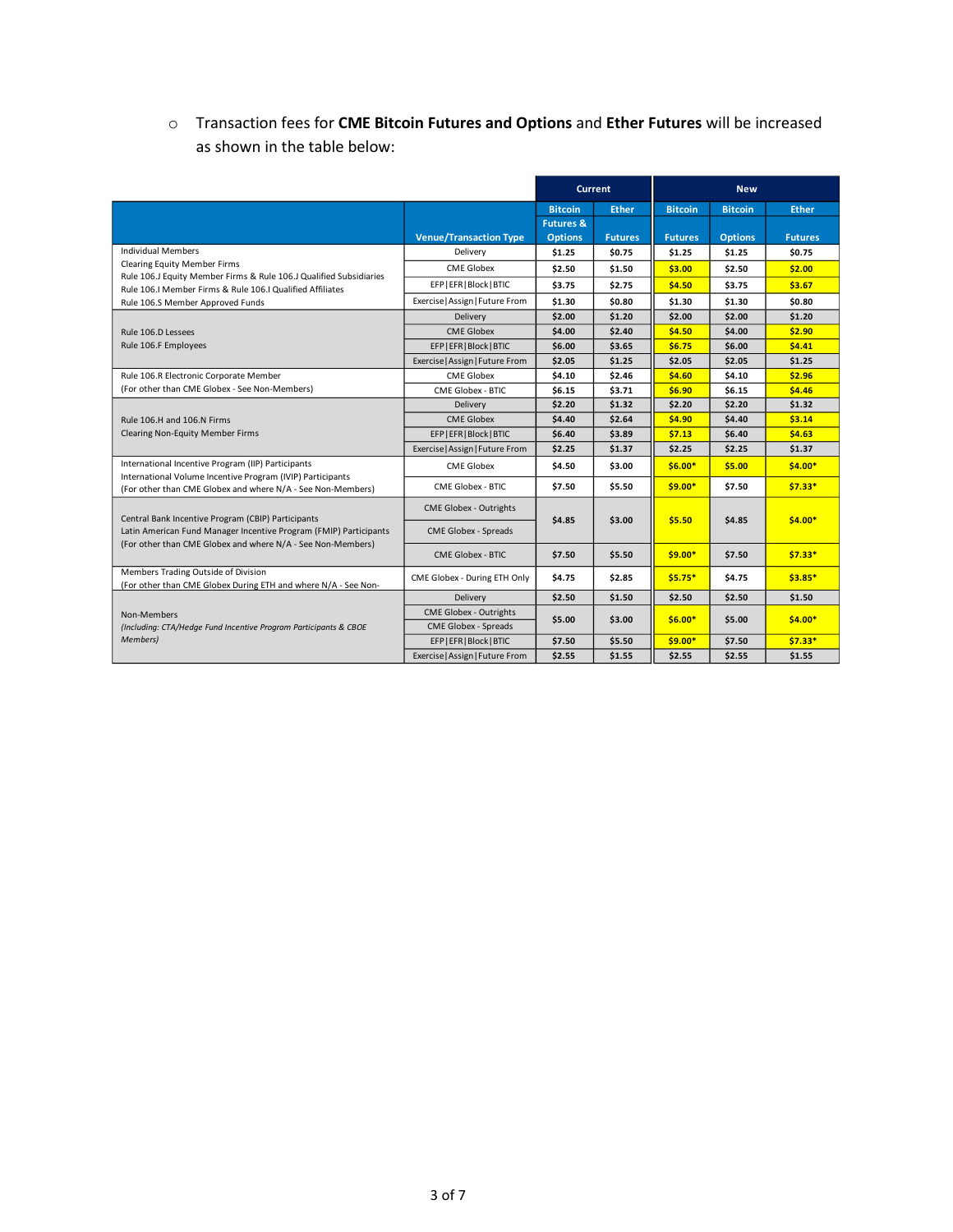# o Transaction fees for **CME Bitcoin Futures and Options** and **Ether Futures** will be increased as shown in the table below:

|                                                                                                                                                                     |                                 | <b>Current</b>       |                | <b>New</b>     |                |                |
|---------------------------------------------------------------------------------------------------------------------------------------------------------------------|---------------------------------|----------------------|----------------|----------------|----------------|----------------|
|                                                                                                                                                                     |                                 | <b>Bitcoin</b>       | <b>Ether</b>   | <b>Bitcoin</b> | <b>Bitcoin</b> | <b>Ether</b>   |
|                                                                                                                                                                     |                                 | <b>Futures &amp;</b> |                |                |                |                |
|                                                                                                                                                                     | <b>Venue/Transaction Type</b>   | <b>Options</b>       | <b>Futures</b> | <b>Futures</b> | <b>Options</b> | <b>Futures</b> |
| <b>Individual Members</b>                                                                                                                                           | Delivery                        | \$1.25               | \$0.75         | \$1.25         | \$1.25         | \$0.75         |
| <b>Clearing Equity Member Firms</b>                                                                                                                                 | <b>CME Globex</b>               | \$2.50               | \$1.50         | \$3.00         | \$2.50         | \$2.00         |
| Rule 106.J Equity Member Firms & Rule 106.J Qualified Subsidiaries<br>Rule 106.I Member Firms & Rule 106.I Qualified Affiliates<br>Rule 106.S Member Approved Funds | EFP   EFR   Block   BTIC        | \$3.75               | \$2.75         | \$4.50         | \$3.75         | \$3.67         |
|                                                                                                                                                                     | Exercise   Assign   Future From | \$1.30               | \$0.80         | \$1.30         | \$1.30         | \$0.80         |
|                                                                                                                                                                     | Delivery                        | \$2.00               | \$1.20         | \$2.00         | \$2.00         | \$1.20         |
| Rule 106.D Lessees                                                                                                                                                  | <b>CME Globex</b>               | \$4.00               | \$2.40         | \$4.50         | \$4.00         | \$2.90         |
| Rule 106.F Employees                                                                                                                                                | EFP   EFR   Block   BTIC        | \$6.00               | \$3.65         | \$6.75         | \$6.00         | 54.41          |
|                                                                                                                                                                     | Exercise   Assign   Future From | \$2.05               | \$1.25         | \$2.05         | \$2.05         | \$1.25         |
| Rule 106.R Electronic Corporate Member                                                                                                                              | <b>CME Globex</b>               | \$4.10               | \$2.46         | \$4.60         | \$4.10         | \$2.96         |
| (For other than CME Globex - See Non-Members)                                                                                                                       | <b>CME Globex - BTIC</b>        | \$6.15               | \$3.71         | \$6.90         | \$6.15         | \$4.46         |
|                                                                                                                                                                     | Delivery                        | \$2.20               | \$1.32         | \$2.20         | \$2.20         | \$1.32         |
| Rule 106.H and 106.N Firms                                                                                                                                          | <b>CME Globex</b>               | \$4.40               | \$2.64         | \$4.90         | \$4.40         | \$3.14         |
| Clearing Non-Equity Member Firms                                                                                                                                    | EFP   EFR   Block   BTIC        | \$6.40               | \$3.89         | \$7.13         | \$6.40         | \$4.63         |
|                                                                                                                                                                     | Exercise   Assign   Future From | \$2.25               | \$1.37         | \$2.25         | \$2.25         | \$1.37         |
| International Incentive Program (IIP) Participants<br>International Volume Incentive Program (IVIP) Participants                                                    | <b>CME Globex</b>               | \$4.50               | \$3.00         | $$6.00*$       | \$5.00         | $$4.00*$       |
| (For other than CME Globex and where N/A - See Non-Members)                                                                                                         | <b>CME Globex - BTIC</b>        | \$7.50               | \$5.50         | $$9.00*$       | \$7.50         | $$7.33*$       |
| Central Bank Incentive Program (CBIP) Participants                                                                                                                  | <b>CME Globex - Outrights</b>   |                      |                |                |                |                |
| Latin American Fund Manager Incentive Program (FMIP) Participants<br>(For other than CME Globex and where N/A - See Non-Members)                                    | <b>CME Globex - Spreads</b>     | \$4.85               | \$3.00         | \$5.50         | \$4.85         | $$4.00*$       |
|                                                                                                                                                                     | <b>CME Globex - BTIC</b>        | \$7.50               | \$5.50         | $$9.00*$       | \$7.50         | $$7.33*$       |
| Members Trading Outside of Division<br>(For other than CME Globex During ETH and where N/A - See Non-                                                               | CME Globex - During ETH Only    | \$4.75               | \$2.85         | $$5.75*$       | \$4.75         | $$3.85*$       |
|                                                                                                                                                                     | Delivery                        | \$2.50               | \$1.50         | \$2.50         | \$2.50         | \$1.50         |
| Non-Members                                                                                                                                                         | <b>CME Globex - Outrights</b>   | \$5.00               | \$3.00         | $$6.00*$       | \$5.00         | $$4.00*$       |
| (Including: CTA/Hedge Fund Incentive Program Participants & CBOE                                                                                                    | <b>CME Globex - Spreads</b>     |                      |                |                |                |                |
| Members)                                                                                                                                                            | EFP   EFR   Block   BTIC        | \$7.50               | \$5.50         | $$9.00*$       | \$7.50         | $$7.33*$       |
|                                                                                                                                                                     | Exercise   Assign   Future From | \$2.55               | \$1.55         | \$2.55         | \$2.55         | \$1.55         |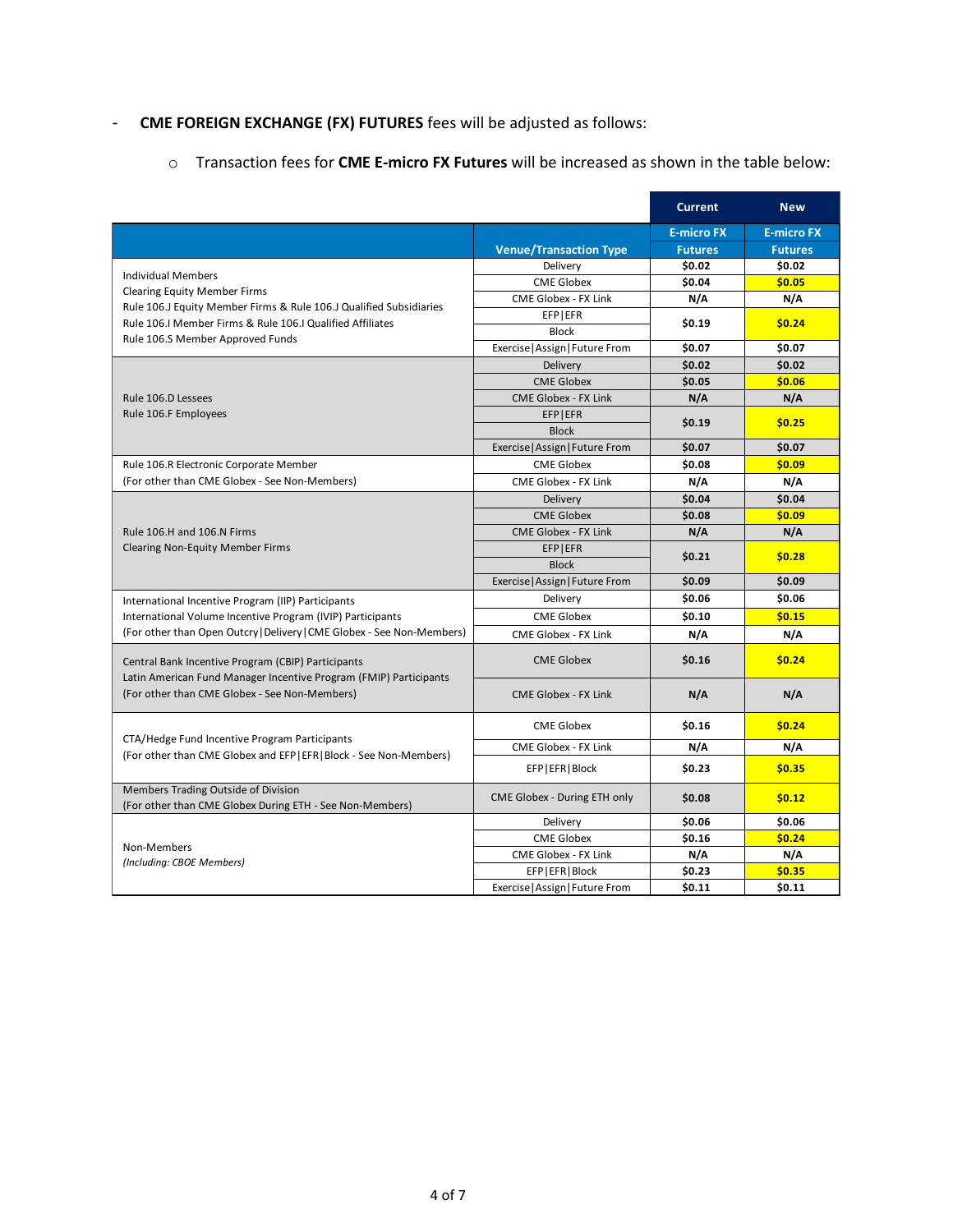# *-* **CME FOREIGN EXCHANGE (FX) FUTURES** fees will be adjusted as follows:

o Transaction fees for **CME E-micro FX Futures** will be increased as shown in the table below:

|                                                                                                                                 |                                 | <b>Current</b>    | <b>New</b>        |
|---------------------------------------------------------------------------------------------------------------------------------|---------------------------------|-------------------|-------------------|
|                                                                                                                                 |                                 | <b>E-micro FX</b> | <b>E-micro FX</b> |
|                                                                                                                                 | <b>Venue/Transaction Type</b>   | <b>Futures</b>    | <b>Futures</b>    |
|                                                                                                                                 | Delivery                        | \$0.02            | \$0.02            |
| <b>Individual Members</b>                                                                                                       | <b>CME Globex</b>               | \$0.04            | \$0.05            |
| <b>Clearing Equity Member Firms</b>                                                                                             | CME Globex - FX Link            | N/A               | N/A               |
| Rule 106.J Equity Member Firms & Rule 106.J Qualified Subsidiaries<br>Rule 106.I Member Firms & Rule 106.I Qualified Affiliates | EFP EFR                         |                   |                   |
| Rule 106.S Member Approved Funds                                                                                                | <b>Block</b>                    | \$0.19            | \$0.24            |
|                                                                                                                                 | Exercise   Assign   Future From | \$0.07            | \$0.07            |
|                                                                                                                                 | Delivery                        | \$0.02            | \$0.02            |
|                                                                                                                                 | <b>CME Globex</b>               | \$0.05            | \$0.06            |
| Rule 106.D Lessees                                                                                                              | <b>CME Globex - FX Link</b>     | N/A               | N/A               |
| Rule 106.F Employees                                                                                                            | EFP EFR                         | \$0.19            | \$0.25            |
|                                                                                                                                 | <b>Block</b>                    |                   |                   |
|                                                                                                                                 | Exercise   Assign   Future From | \$0.07            | \$0.07            |
| Rule 106.R Electronic Corporate Member                                                                                          | <b>CME Globex</b>               | \$0.08            | \$0.09            |
| (For other than CME Globex - See Non-Members)                                                                                   | <b>CME Globex - FX Link</b>     | N/A               | N/A               |
|                                                                                                                                 | Delivery                        | \$0.04            | \$0.04            |
|                                                                                                                                 | <b>CME Globex</b>               | \$0.08            | \$0.09            |
| Rule 106.H and 106.N Firms                                                                                                      | <b>CME Globex - FX Link</b>     | N/A               | N/A               |
| <b>Clearing Non-Equity Member Firms</b>                                                                                         | EFP EFR                         | \$0.21            | \$0.28            |
|                                                                                                                                 | <b>Block</b>                    |                   |                   |
|                                                                                                                                 | Exercise   Assign   Future From | \$0.09            | \$0.09            |
| International Incentive Program (IIP) Participants                                                                              | Delivery                        | \$0.06            | \$0.06            |
| International Volume Incentive Program (IVIP) Participants                                                                      | <b>CME Globex</b>               | \$0.10            | \$0.15            |
| (For other than Open Outcry   Delivery   CME Globex - See Non-Members)                                                          | CME Globex - FX Link            | N/A               | N/A               |
| Central Bank Incentive Program (CBIP) Participants<br>Latin American Fund Manager Incentive Program (FMIP) Participants         | <b>CME Globex</b>               | \$0.16            | \$0.24            |
| (For other than CME Globex - See Non-Members)                                                                                   | <b>CME Globex - FX Link</b>     | N/A               | N/A               |
| CTA/Hedge Fund Incentive Program Participants                                                                                   | <b>CME Globex</b>               | \$0.16            | \$0.24            |
| (For other than CME Globex and EFP   EFR   Block - See Non-Members)                                                             | CME Globex - FX Link            | N/A               | N/A               |
|                                                                                                                                 | EFP   EFR   Block               | \$0.23            | \$0.35            |
| Members Trading Outside of Division<br>(For other than CME Globex During ETH - See Non-Members)                                 | CME Globex - During ETH only    | \$0.08            | \$0.12            |
|                                                                                                                                 | Delivery                        | \$0.06            | \$0.06            |
| Non-Members                                                                                                                     | <b>CME Globex</b>               | \$0.16            | \$0.24            |
| (Including: CBOE Members)                                                                                                       | CME Globex - FX Link            | N/A               | N/A               |
|                                                                                                                                 | EFP   EFR   Block               | \$0.23            | \$0.35            |
|                                                                                                                                 | Exercise   Assign   Future From | \$0.11            | \$0.11            |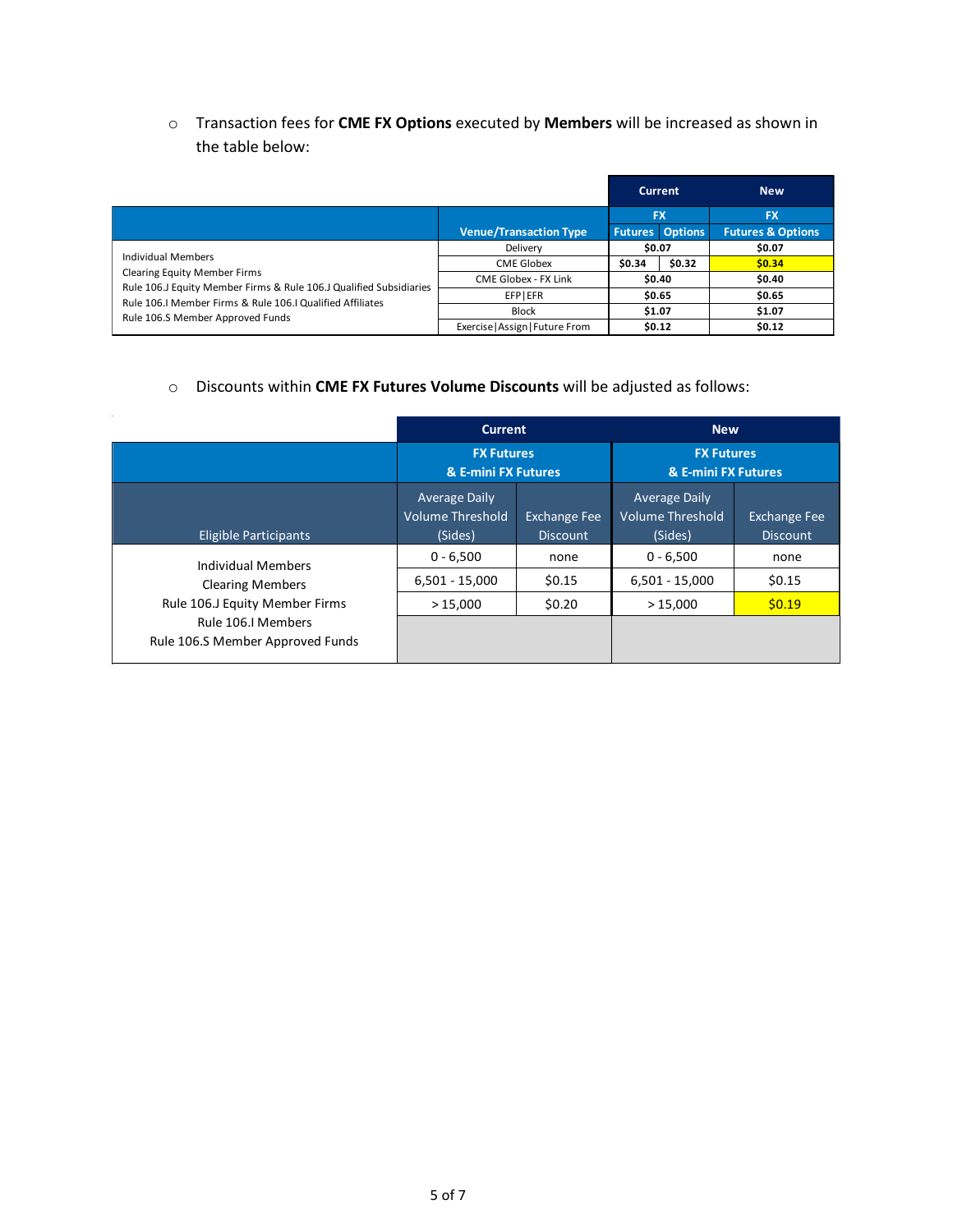o Transaction fees for **CME FX Options** executed by **Members** will be increased as shown in the table below:

|                                                                                                                                                                                                                                  |                                 |                        | <b>Current</b> | <b>New</b>                   |  |
|----------------------------------------------------------------------------------------------------------------------------------------------------------------------------------------------------------------------------------|---------------------------------|------------------------|----------------|------------------------------|--|
|                                                                                                                                                                                                                                  |                                 | <b>FX</b>              |                | <b>FX</b>                    |  |
|                                                                                                                                                                                                                                  | <b>Venue/Transaction Type</b>   | <b>Futures Options</b> |                | <b>Futures &amp; Options</b> |  |
| Individual Members<br><b>Clearing Equity Member Firms</b><br>Rule 106.J Equity Member Firms & Rule 106.J Qualified Subsidiaries<br>Rule 106.I Member Firms & Rule 106.I Qualified Affiliates<br>Rule 106.S Member Approved Funds | Delivery                        | \$0.07                 |                | \$0.07                       |  |
|                                                                                                                                                                                                                                  | <b>CME Globex</b>               | \$0.34                 | \$0.32         | \$0.34                       |  |
|                                                                                                                                                                                                                                  | CME Globex - FX Link            | \$0.40                 |                | \$0.40                       |  |
|                                                                                                                                                                                                                                  | EFPIEFR                         | \$0.65                 |                | \$0.65                       |  |
|                                                                                                                                                                                                                                  | <b>Block</b>                    | \$1.07                 |                | \$1.07                       |  |
|                                                                                                                                                                                                                                  | Exercise   Assign   Future From | \$0.12                 |                | \$0.12                       |  |

## o Discounts within **CME FX Futures Volume Discounts** will be adjusted as follows:

|                                                        |                                                            | <b>Current</b><br><b>New</b>           |                                                            |                                        |
|--------------------------------------------------------|------------------------------------------------------------|----------------------------------------|------------------------------------------------------------|----------------------------------------|
|                                                        | <b>FX Futures</b><br>& E-mini FX Futures                   |                                        | <b>FX Futures</b><br>& E-mini FX Futures                   |                                        |
| <b>Eligible Participants</b>                           | <b>Average Daily</b><br><b>Volume Threshold</b><br>(Sides) | <b>Exchange Fee</b><br><b>Discount</b> | <b>Average Daily</b><br><b>Volume Threshold</b><br>(Sides) | <b>Exchange Fee</b><br><b>Discount</b> |
| <b>Individual Members</b>                              | $0 - 6,500$                                                | none                                   | $0 - 6,500$                                                | none                                   |
| <b>Clearing Members</b>                                | $6,501 - 15,000$                                           | \$0.15                                 | $6,501 - 15,000$                                           | \$0.15                                 |
| Rule 106.J Equity Member Firms                         | >15,000                                                    | \$0.20                                 | >15,000                                                    | \$0.19                                 |
| Rule 106.I Members<br>Rule 106.S Member Approved Funds |                                                            |                                        |                                                            |                                        |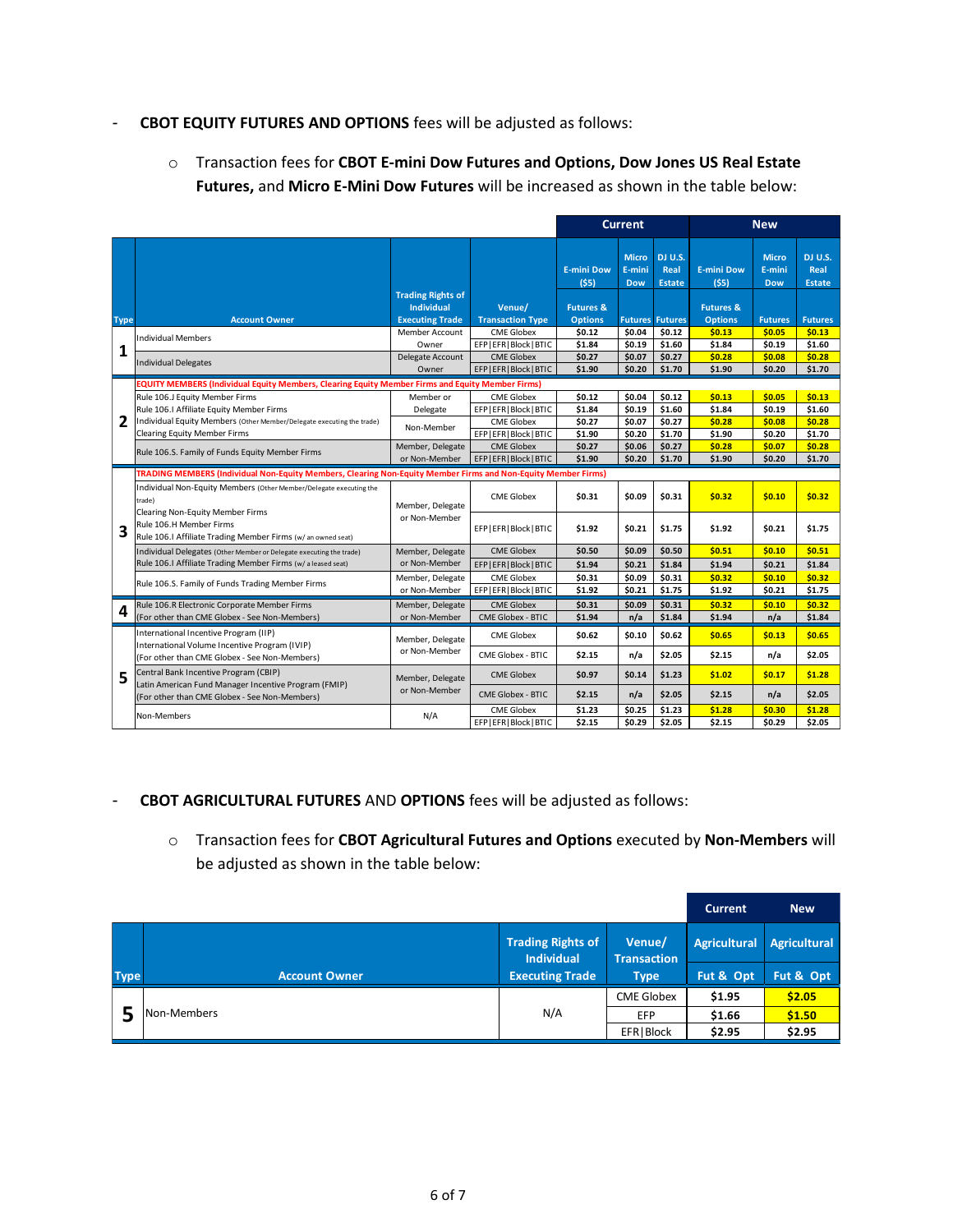## *-* **CBOT EQUITY FUTURES AND OPTIONS** fees will be adjusted as follows:

o Transaction fees for **CBOT E-mini Dow Futures and Options, Dow Jones US Real Estate Futures,** and **Micro E-Mini Dow Futures** will be increased as shown in the table below:

|             |                                                                                                                                   |                                                                                                                                                                                                                                                                                                                                                                                                                                                                                                                                                                                                                       |                          | <b>Current</b>                |                                      | <b>New</b>                       |                           |                                      |                                  |
|-------------|-----------------------------------------------------------------------------------------------------------------------------------|-----------------------------------------------------------------------------------------------------------------------------------------------------------------------------------------------------------------------------------------------------------------------------------------------------------------------------------------------------------------------------------------------------------------------------------------------------------------------------------------------------------------------------------------------------------------------------------------------------------------------|--------------------------|-------------------------------|--------------------------------------|----------------------------------|---------------------------|--------------------------------------|----------------------------------|
|             |                                                                                                                                   | <b>Trading Rights of</b>                                                                                                                                                                                                                                                                                                                                                                                                                                                                                                                                                                                              |                          | <b>E-mini Dow</b><br>$($ \$5) | <b>Micro</b><br>E-mini<br><b>Dow</b> | DJ U.S.<br>Real<br><b>Estate</b> | <b>E-mini Dow</b><br>(55) | <b>Micro</b><br>E-mini<br><b>Dow</b> | DJ U.S.<br>Real<br><b>Estate</b> |
|             |                                                                                                                                   | <b>Individual</b>                                                                                                                                                                                                                                                                                                                                                                                                                                                                                                                                                                                                     | Venue/                   | <b>Futures &amp;</b>          |                                      |                                  | <b>Futures &amp;</b>      |                                      |                                  |
| <b>Type</b> | <b>Account Owner</b>                                                                                                              | <b>Executing Trade</b>                                                                                                                                                                                                                                                                                                                                                                                                                                                                                                                                                                                                | <b>Transaction Type</b>  | <b>Options</b>                | <b>Futures</b>                       | <b>Futures</b>                   | <b>Options</b>            | <b>Futures</b>                       | <b>Futures</b>                   |
|             | <b>Individual Members</b>                                                                                                         | <b>Member Account</b>                                                                                                                                                                                                                                                                                                                                                                                                                                                                                                                                                                                                 | <b>CME Globex</b>        | \$0.12                        | \$0.04                               | \$0.12                           | \$0.13                    | \$0.05                               | \$0.13                           |
| 1           |                                                                                                                                   | Owner                                                                                                                                                                                                                                                                                                                                                                                                                                                                                                                                                                                                                 | EFP EFR Block BTIC       | \$1.84                        | \$0.19                               | \$1.60                           | \$1.84                    | \$0.19                               | \$1.60                           |
|             | <b>Individual Delegates</b>                                                                                                       |                                                                                                                                                                                                                                                                                                                                                                                                                                                                                                                                                                                                                       |                          | \$0.27                        | \$0.07                               | \$0.27                           | \$0.28                    | \$0.08                               | \$0.28                           |
|             |                                                                                                                                   | Owner                                                                                                                                                                                                                                                                                                                                                                                                                                                                                                                                                                                                                 | EFP EFR Block BTIC       | \$1.90                        | \$0.20                               | \$1.70                           | \$1.90                    | \$0.20                               | \$1.70                           |
|             | EQUITY MEMBERS (Individual Equity Members, Clearing Equity Member Firms and Equity Member Firms)                                  |                                                                                                                                                                                                                                                                                                                                                                                                                                                                                                                                                                                                                       |                          |                               |                                      |                                  |                           |                                      |                                  |
|             | Rule 106.J Equity Member Firms                                                                                                    | Member or                                                                                                                                                                                                                                                                                                                                                                                                                                                                                                                                                                                                             | <b>CME Globex</b>        | \$0.12                        | \$0.04                               | \$0.12                           | \$0.13                    | \$0.05                               | \$0.13                           |
|             | Rule 106.I Affiliate Equity Member Firms                                                                                          | Delegate                                                                                                                                                                                                                                                                                                                                                                                                                                                                                                                                                                                                              | EFP   EFR   Block   BTIC | \$1.84                        | \$0.19                               | \$1.60                           | \$1.84                    | \$0.19                               | \$1.60                           |
| 2           | Individual Equity Members (Other Member/Delegate executing the trade)                                                             |                                                                                                                                                                                                                                                                                                                                                                                                                                                                                                                                                                                                                       | <b>CME Globex</b>        | \$0.27                        | \$0.07                               | \$0.27                           | \$0.28                    | \$0.08                               | \$0.28                           |
|             | <b>Clearing Equity Member Firms</b>                                                                                               | Delegate Account<br><b>CME Globex</b><br>Non-Member<br>EFP   EFR   Block   BTIC<br><b>CME Globex</b><br>Member, Delegate<br>or Non-Member<br><b>CME Globex</b><br>Member, Delegate<br>or Non-Member<br><b>CME Globex</b><br>Member, Delegate<br>or Non-Member<br><b>CME Globex</b><br>Member, Delegate<br>or Non-Member<br>Member, Delegate<br><b>CME Globex</b><br>or Non-Member<br><b>CME Globex - BTIC</b><br><b>CME Globex</b><br>Member, Delegate<br>or Non-Member<br><b>CME Globex</b><br>Member, Delegate<br>or Non-Member<br><b>CME Globex - BTIC</b><br><b>CME Globex</b><br>N/A<br>EFP   EFR   Block   BTIC | \$1.90                   | \$0.20                        | \$1.70                               | \$1.90                           | \$0.20                    | \$1.70                               |                                  |
|             | Rule 106.S. Family of Funds Equity Member Firms                                                                                   |                                                                                                                                                                                                                                                                                                                                                                                                                                                                                                                                                                                                                       |                          | \$0.27                        | \$0.06                               | \$0.27                           | \$0.28                    | \$0.07                               | \$0.28                           |
|             |                                                                                                                                   |                                                                                                                                                                                                                                                                                                                                                                                                                                                                                                                                                                                                                       | EFP EFR Block BTIC       | \$1.90                        | \$0.20                               | \$1.70                           | \$1.90                    | \$0.20                               | \$1.70                           |
|             | TRADING MEMBERS (Individual Non-Equity Members, Clearing Non-Equity Member Firms and Non-Equity Member Firms)                     |                                                                                                                                                                                                                                                                                                                                                                                                                                                                                                                                                                                                                       |                          |                               |                                      |                                  |                           |                                      |                                  |
|             | Individual Non-Equity Members (Other Member/Delegate executing the<br>trade)                                                      |                                                                                                                                                                                                                                                                                                                                                                                                                                                                                                                                                                                                                       |                          | \$0.31                        | \$0.09                               | \$0.31                           | \$0.32                    | \$0.10                               | \$0.32                           |
| 3           | <b>Clearing Non-Equity Member Firms</b><br>Rule 106.H Member Firms<br>Rule 106.I Affiliate Trading Member Firms (w/an owned seat) |                                                                                                                                                                                                                                                                                                                                                                                                                                                                                                                                                                                                                       | EFP   EFR   Block   BTIC | \$1.92                        | \$0.21                               | \$1.75                           | \$1.92                    | \$0.21                               | \$1.75                           |
|             | Individual Delegates (Other Member or Delegate executing the trade)                                                               |                                                                                                                                                                                                                                                                                                                                                                                                                                                                                                                                                                                                                       |                          | \$0.50                        | \$0.09                               | \$0.50                           | \$0.51                    | \$0.10                               | \$0.51                           |
|             | Rule 106.I Affiliate Trading Member Firms (w/aleased seat)                                                                        |                                                                                                                                                                                                                                                                                                                                                                                                                                                                                                                                                                                                                       | EFP EFR Block BTIC       | \$1.94                        | \$0.21                               | \$1.84                           | \$1.94                    | \$0.21                               | \$1.84                           |
|             | Rule 106.S. Family of Funds Trading Member Firms                                                                                  |                                                                                                                                                                                                                                                                                                                                                                                                                                                                                                                                                                                                                       |                          | \$0.31                        | \$0.09                               | \$0.31                           | \$0.32                    | \$0.10                               | \$0.32                           |
|             |                                                                                                                                   |                                                                                                                                                                                                                                                                                                                                                                                                                                                                                                                                                                                                                       | EFP EFR Block BTIC       | \$1.92                        | \$0.21                               | \$1.75                           | \$1.92                    | \$0.21                               | \$1.75                           |
|             | Rule 106.R Electronic Corporate Member Firms                                                                                      |                                                                                                                                                                                                                                                                                                                                                                                                                                                                                                                                                                                                                       |                          | \$0.31                        | \$0.09                               | \$0.31                           | \$0.32                    | \$0.10                               | \$0.32                           |
| 4           | (For other than CME Globex - See Non-Members)                                                                                     |                                                                                                                                                                                                                                                                                                                                                                                                                                                                                                                                                                                                                       |                          | \$1.94                        | n/a                                  | \$1.84                           | \$1.94                    | n/a                                  | \$1.84                           |
|             | International Incentive Program (IIP)<br>International Volume Incentive Program (IVIP)                                            |                                                                                                                                                                                                                                                                                                                                                                                                                                                                                                                                                                                                                       |                          | \$0.62                        | \$0.10                               | \$0.62                           | \$0.65                    | \$0.13                               | \$0.65                           |
|             | (For other than CME Globex - See Non-Members)                                                                                     |                                                                                                                                                                                                                                                                                                                                                                                                                                                                                                                                                                                                                       | CME Globex - BTIC        | \$2.15                        | n/a                                  | \$2.05                           | \$2.15                    | n/a                                  | \$2.05                           |
| 5           | Central Bank Incentive Program (CBIP)<br>Latin American Fund Manager Incentive Program (FMIP)                                     |                                                                                                                                                                                                                                                                                                                                                                                                                                                                                                                                                                                                                       |                          | \$0.97                        | \$0.14                               | \$1.23                           | \$1.02                    | \$0.17                               | \$1.28                           |
|             | (For other than CME Globex - See Non-Members)                                                                                     |                                                                                                                                                                                                                                                                                                                                                                                                                                                                                                                                                                                                                       |                          | \$2.15                        | n/a                                  | \$2.05                           | \$2.15                    | n/a                                  | \$2.05                           |
|             | Non-Members                                                                                                                       |                                                                                                                                                                                                                                                                                                                                                                                                                                                                                                                                                                                                                       |                          | \$1.23                        | \$0.25                               | \$1.23<br>\$2.05                 | \$1.28<br>\$2.15          | \$0.30                               | \$1.28<br>\$2.05                 |
|             |                                                                                                                                   |                                                                                                                                                                                                                                                                                                                                                                                                                                                                                                                                                                                                                       |                          | \$2.15                        | \$0.29                               |                                  |                           | \$0.29                               |                                  |

### *-* **CBOT AGRICULTURAL FUTURES** AND **OPTIONS** fees will be adjusted as follows:

o Transaction fees for **CBOT Agricultural Futures and Options** executed by **Non-Members** will be adjusted as shown in the table below:

|             |                      |                                               |                              | <b>Current</b>      | <b>New</b>   |
|-------------|----------------------|-----------------------------------------------|------------------------------|---------------------|--------------|
|             |                      | <b>Trading Rights of</b><br><b>Individual</b> | Venue/<br><b>Transaction</b> | <b>Agricultural</b> | Agricultural |
| <b>Type</b> | <b>Account Owner</b> | <b>Executing Trade</b>                        | <b>Type</b>                  | Fut & Opt           | Fut & Opt    |
|             |                      |                                               | <b>CME Globex</b>            | \$1.95              | \$2.05       |
|             | Non-Members          | N/A                                           | <b>EFP</b>                   | \$1.66              | \$1.50       |
|             |                      |                                               | EFR   Block                  | \$2.95              | \$2.95       |